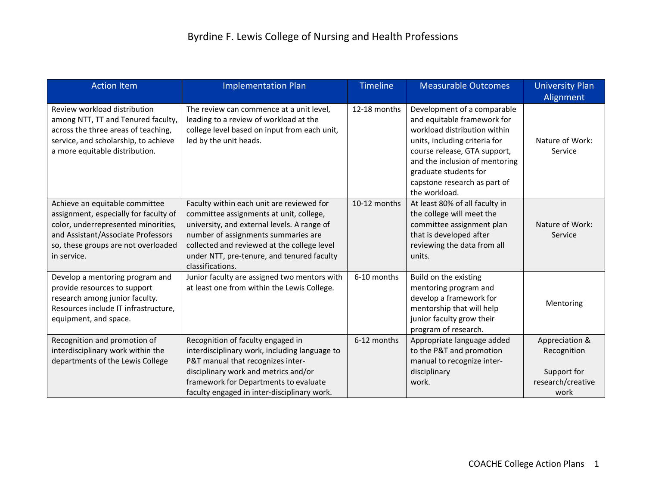| <b>Action Item</b>                                                                                                                                                                                         | <b>Implementation Plan</b>                                                                                                                                                                                                                                                                  | <b>Timeline</b> | <b>Measurable Outcomes</b>                                                                                                                                                                                                                                              | <b>University Plan</b><br>Alignment                                       |
|------------------------------------------------------------------------------------------------------------------------------------------------------------------------------------------------------------|---------------------------------------------------------------------------------------------------------------------------------------------------------------------------------------------------------------------------------------------------------------------------------------------|-----------------|-------------------------------------------------------------------------------------------------------------------------------------------------------------------------------------------------------------------------------------------------------------------------|---------------------------------------------------------------------------|
| Review workload distribution<br>among NTT, TT and Tenured faculty,<br>across the three areas of teaching,<br>service, and scholarship, to achieve<br>a more equitable distribution.                        | The review can commence at a unit level,<br>leading to a review of workload at the<br>college level based on input from each unit,<br>led by the unit heads.                                                                                                                                | 12-18 months    | Development of a comparable<br>and equitable framework for<br>workload distribution within<br>units, including criteria for<br>course release, GTA support,<br>and the inclusion of mentoring<br>graduate students for<br>capstone research as part of<br>the workload. | Nature of Work:<br>Service                                                |
| Achieve an equitable committee<br>assignment, especially for faculty of<br>color, underrepresented minorities,<br>and Assistant/Associate Professors<br>so, these groups are not overloaded<br>in service. | Faculty within each unit are reviewed for<br>committee assignments at unit, college,<br>university, and external levels. A range of<br>number of assignments summaries are<br>collected and reviewed at the college level<br>under NTT, pre-tenure, and tenured faculty<br>classifications. | 10-12 months    | At least 80% of all faculty in<br>the college will meet the<br>committee assignment plan<br>that is developed after<br>reviewing the data from all<br>units.                                                                                                            | Nature of Work:<br>Service                                                |
| Develop a mentoring program and<br>provide resources to support<br>research among junior faculty.<br>Resources include IT infrastructure,<br>equipment, and space.                                         | Junior faculty are assigned two mentors with<br>at least one from within the Lewis College.                                                                                                                                                                                                 | 6-10 months     | Build on the existing<br>mentoring program and<br>develop a framework for<br>mentorship that will help<br>junior faculty grow their<br>program of research.                                                                                                             | Mentoring                                                                 |
| Recognition and promotion of<br>interdisciplinary work within the<br>departments of the Lewis College                                                                                                      | Recognition of faculty engaged in<br>interdisciplinary work, including language to<br>P&T manual that recognizes inter-<br>disciplinary work and metrics and/or<br>framework for Departments to evaluate<br>faculty engaged in inter-disciplinary work.                                     | 6-12 months     | Appropriate language added<br>to the P&T and promotion<br>manual to recognize inter-<br>disciplinary<br>work.                                                                                                                                                           | Appreciation &<br>Recognition<br>Support for<br>research/creative<br>work |